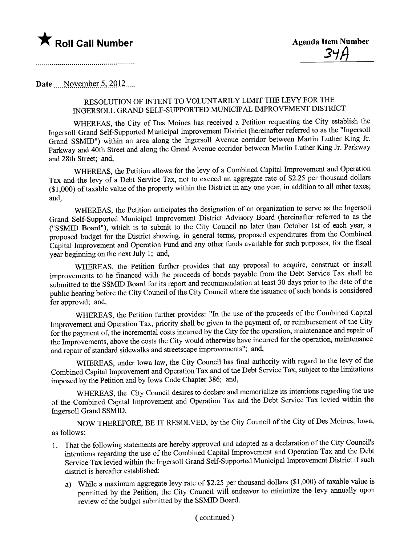

Date \_\_\_\_NQy~mJ?\_~r.s\_'\_L\_Ql)\_\_.\_\_

## RESOLUTION OF INTENT TO VOLUNTARILY LIMIT THE LEVY FOR THE INGERSOLL GRAND SELF-SUPPORTED MUNICIPAL IMPROVEMENT DISTRICT

WHEREAS, the City of Des Moines has received a Petition requesting the City establish the Ingersoll Grand Self-Supported Muncipal Improvement District (hereinafter refered to as the "Ingersoll Grand SSMID") within an area along the Ingersoll Avenue corrdor between Martin Luther King Jr. Parkway and 40th Street and along the Grand Avenue corrdor between Martin Luther King Jr. Parkway and 28th Street; and,

WHEREAS, the Petition allows for the levy of a Combined Capital Improvement and Operation Tax and the levy of a Debt Service Tax, not to exceed an aggregate rate of \$2.25 per thousand dollars (\$1,000) of taxable value of the property within the District in anyone year, in addition to all other taxes; and,

WHEREAS, the Petition anticipates the designation of an organization to serve as the Ingersoll Grand Self-Supported Muncipal Improvement District Advisory Board (hereinafter referred to as the ("SSMID Board"), which is to submit to the City Council no later than October 1st of each year, a proposed budget for the District showing, in general terms, proposed expenditures from the Combined Capital Improvement and Operation Fund and any other funds available for such purposes, for the fiscal year beginning on the next July 1; and,

WHEREAS, the Petition further provides that any proposal to acquire, construct or install improvements to be financed with the proceeds of bonds payable from the Debt Service Tax shall be submitted to the SSMID Board for its report and recommendation at least 30 days prior to the date of the public hearing before the City Council of the City Council where the issuance of such bonds is considered for approval; and,

WHEREAS, the Petition further provides: "In the use of the proceeds of the Combined Capital Improvement and Operation Tax, priority shall be given to the payment of, or reimbursement of the City for the payment of, the incremental costs incured by the City for the operation, maintenance and repair of the Improvements, above the costs the City would otherwise have incurred for the operation, maintenance and repair of standard sidewalks and streetscape improvements"; and,

WHEREAS, under Iowa law, the City Council has final authority with regard to the levy of the Combined Capital Improvement and Operation Tax and of the Debt Service Tax, subject to the limitations imposed by the Petition and by Iowa Code Chapter 386; and,

WHEREAS, the City Council desires to declare and memorialize its intentions regarding the use of the Combined Capital Improvement and Operation Tax and the Debt Service Tax levied within the Ingersoll Grand SSMID.

NOW THEREFORE, BE IT RESOLVED, by the City Council of the City of Des Moines, Iowa, as follows:

- 1. That the following statements are hereby approved and adopted as a declaration of the City Council's intentions regarding the use of the Combined Capital Improvement and Operation Tax and the Debt Service Tax levied within the Ingersoll Grand Self-Supported Municipal Improvement District if such district is hereafter established:
	- a) While a maximum aggregate levy rate of \$2.25 per thousand dollars (\$1,000) of taxable value is permitted by the Petition, the City Council will endeavor to minimize the levy annually upon review of the budget submitted by the SSMID Board.

( continued)